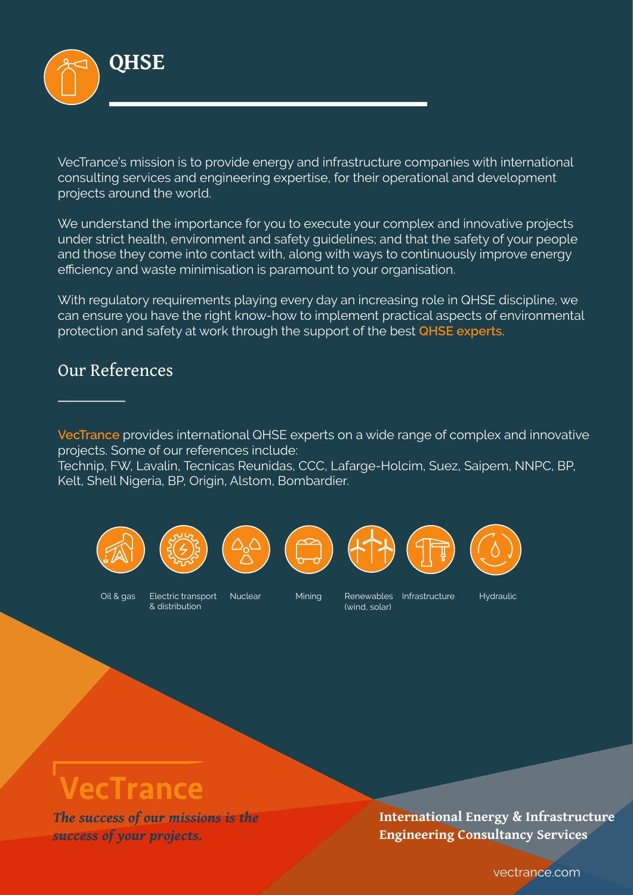

VecTrance's mission is to provide energy and infrastructure companies with international consulting services and engineering expertise, for their operational and development projects around the world.

We understand the importance for you to execute your complex and innovative projects under strict health, environment and safety quidelines; and that the safety of your people and those they come into contact with, along with ways to continuously improve energy efficiency and waste minimisation is paramount to your organisation.

With requiatory requirements playing every day an increasing role in QHSE discipline, we can ensure you have the right know-how to implement practical aspects of environmental protection and safety at work through the support of the best **QHSE** experts.

#### Our References

VecTrance provides international QHSE experts on a wide range of complex and innovative projects. Some of our references include:

Technip, FW, Lavalin, Tecnicas Reunidas, CCC, Lafarge-Holcim, Suez, Saipem, NNPC, BP, Kelt, Shell Nigeria, BP, Origin, Alstom, Bombardier.













Oil & gas

Electric transport & distribution

Nuclear

Minina

Renewables Infrastructure (wind, solar)

Hydraulic

# VecTrance

The success of our missions is the success of your projects.

International Energy & Infrastructure **Engineering Consultancy Services** 

vectrance.com